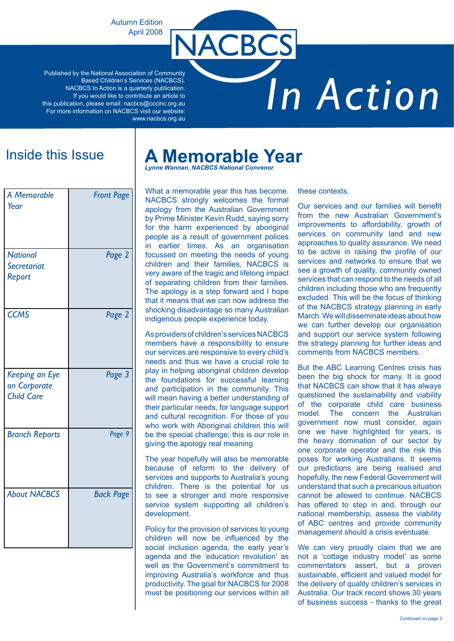Autumn Edition April 2008

Published by the National Association of Community Based Children's Services (NACBCS). NACBCS In Action is a quarterly publication. If you would like to contribute an article to this publication, please email: nacbcs@cccinc.org.au For more information on NACBCS visit our website: www.nacbcs.org.au

# *In Action*

| A Memorable<br>Year                                 | <b>Front Page</b> |
|-----------------------------------------------------|-------------------|
| <b>National</b><br>Secretariat<br>Report            | Page 2            |
| <b>CCMS</b>                                         | Page 2            |
| Keeping an Eye<br>on Corporate<br><b>Child Care</b> | Page 3            |
| <b>Branch Reports</b>                               | Page 9            |
| <b>About NACBCS</b>                                 | <b>Back Page</b>  |

# Inside this Issue **A Memorable Year**

**NACBCS** 

*Lynne Wannan, NACBCS National Convenor*

What a memorable year this has become. NACBCS strongly welcomes the formal apology from the Australian Government by Prime Minister Kevin Rudd, saying sorry for the harm experienced by aboriginal people as a result of government polices in earlier times. As an organisation focussed on meeting the needs of young children and their families, NACBCS is very aware of the tragic and lifelong impact of separating children from their families. The apology is a step forward and I hope that it means that we can now address the shocking disadvantage so many Australian indigenous people experience today.

As providers of children's services NACBCS members have a responsibility to ensure our services are responsive to every child's needs and thus we have a crucial role to play in helping aboriginal children develop the foundations for successful learning and participation in the community. This will mean having a better understanding of their particular needs, for language support and cultural recognition. For those of you who work with Aboriginal children this will be the special challenge; this is our role in giving the apology real meaning.

The year hopefully will also be memorable because of reform to the delivery of services and supports to Australia's young children. There is the potential for us to see a stronger and more responsive service system supporting all children's development.

Policy for the provision of services to young children will now be influenced by the social inclusion agenda, the early year's agenda and the 'education revolution' as well as the Government's commitment to improving Australia's workforce and thus productivity. The goal for NACBCS for 2008 must be positioning our services within all

these contexts.

Our services and our families will benefit from the new Australian Government's improvements to affordability, growth of services on community land and new approaches to quality assurance. We need to be active in raising the profile of our services and networks to ensure that we see a growth of quality, community owned services that can respond to the needs of all children including those who are frequently excluded. This will be the focus of thinking of the NACBCS strategy planning in early March. We will disseminate ideas about how we can further develop our organisation and support our service system following the strategy planning for further ideas and comments from NACBCS members.

But the ABC Learning Centres crisis has been the big shock for many. It is good that NACBCS can show that it has always questioned the sustainability and viability of the corporate child care business model. The concern the Australian government now must consider, again one we have highlighted for years, is the heavy domination of our sector by one corporate operator and the risk this poses for working Australians. It seems our predictions are being realised and hopefully, the new Federal Government will understand that such a precarious situation cannot be allowed to continue. NACBCS has offered to step in and, through our national membership, assess the viability of ABC centres and provide community management should a crisis eventuate.

We can very proudly claim that we are not a 'cottage industry model' as some commentators assert, but a proven sustainable, efficient and valued model for the delivery of quality children's services in Australia. Our track record shows 30 years of business success - thanks to the great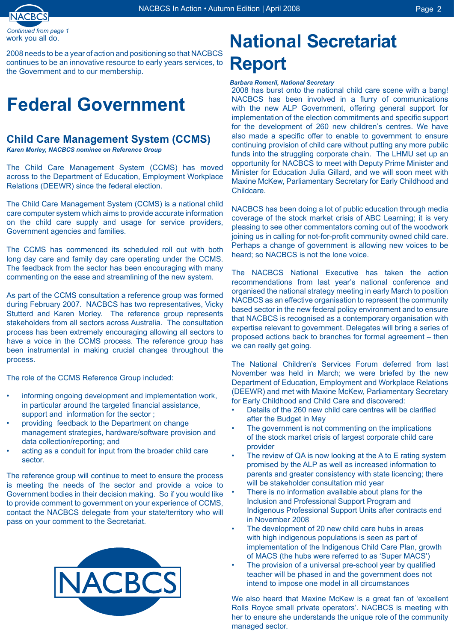

work you all do. *Continued from page* 

2008 needs to be a year of action and positioning so that NACBCS continues to be an innovative resource to early years services, to the Government and to our membership.

# **Federal Government**

# **Child Care Management System (CCMS)**

*Karen Morley, NACBCS nominee on Reference Group*

The Child Care Management System (CCMS) has moved across to the Department of Education, Employment Workplace Relations (DEEWR) since the federal election.

The Child Care Management System (CCMS) is a national child care computer system which aims to provide accurate information on the child care supply and usage for service providers, Government agencies and families.

The CCMS has commenced its scheduled roll out with both long day care and family day care operating under the CCMS. The feedback from the sector has been encouraging with many commenting on the ease and streamlining of the new system.

As part of the CCMS consultation a reference group was formed during February 2007. NACBCS has two representatives, Vicky Stutterd and Karen Morley. The reference group represents stakeholders from all sectors across Australia. The consultation process has been extremely encouraging allowing all sectors to have a voice in the CCMS process. The reference group has been instrumental in making crucial changes throughout the process.

The role of the CCMS Reference Group included:

- informing ongoing development and implementation work, in particular around the targeted financial assistance, support and information for the sector ; •
- providing feedback to the Department on change management strategies, hardware/software provision and data collection/reporting; and •
- acting as a conduit for input from the broader child care sector. •

The reference group will continue to meet to ensure the process is meeting the needs of the sector and provide a voice to Government bodies in their decision making. So if you would like to provide comment to government on your experience of CCMS, contact the NACBCS delegate from your state/territory who will pass on your comment to the Secretariat.



# **National Secretariat Report**

#### *Barbara Romeril, National Secretary*

2008 has burst onto the national child care scene with a bang! NACBCS has been involved in a flurry of communications with the new ALP Government, offering general support for implementation of the election commitments and specific support for the development of 260 new children's centres. We have also made a specific offer to enable to government to ensure continuing provision of child care without putting any more public funds into the struggling corporate chain. The LHMU set up an opportunity for NACBCS to meet with Deputy Prime Minister and Minister for Education Julia Gillard, and we will soon meet with Maxine McKew, Parliamentary Secretary for Early Childhood and Childcare.

NACBCS has been doing a lot of public education through media coverage of the stock market crisis of ABC Learning; it is very pleasing to see other commentators coming out of the woodwork joining us in calling for not-for-profit community owned child care. Perhaps a change of government is allowing new voices to be heard; so NACBCS is not the lone voice.

The NACBCS National Executive has taken the action recommendations from last year's national conference and organised the national strategy meeting in early March to position NACBCS as an effective organisation to represent the community based sector in the new federal policy environment and to ensure that NACBCS is recognised as a contemporary organisation with expertise relevant to government. Delegates will bring a series of proposed actions back to branches for formal agreement – then we can really get going.

The National Children's Services Forum deferred from last November was held in March; we were briefed by the new Department of Education, Employment and Workplace Relations (DEEWR) and met with Maxine McKew, Parliamentary Secretary for Early Childhood and Child Care and discovered:

- Details of the 260 new child care centres will be clarified after the Budget in May •
- The government is not commenting on the implications of the stock market crisis of largest corporate child care provider •
- The review of QA is now looking at the A to E rating system promised by the ALP as well as increased information to parents and greater consistency with state licencing; there will be stakeholder consultation mid year •
- There is no information available about plans for the Inclusion and Professional Support Program and Indigenous Professional Support Units after contracts end in November 2008 •
- The development of 20 new child care hubs in areas with high indigenous populations is seen as part of implementation of the Indigenous Child Care Plan, growth of MACS (the hubs were referred to as 'Super MACS') •
- The provision of a universal pre-school year by qualified teacher will be phased in and the government does not intend to impose one model in all circumstances •

We also heard that Maxine McKew is a great fan of 'excellent Rolls Royce small private operators'. NACBCS is meeting with her to ensure she understands the unique role of the community managed sector.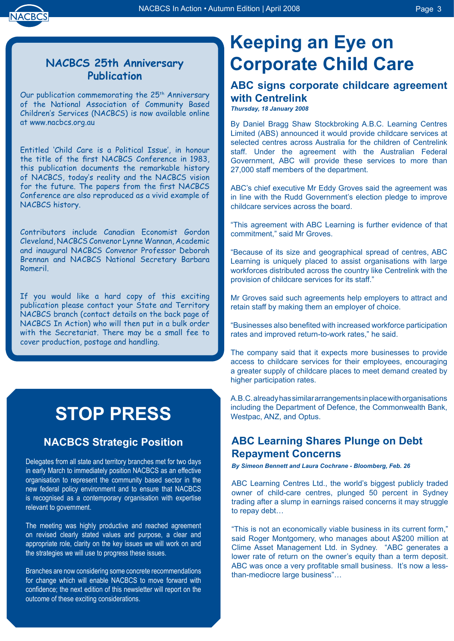

# **NACBCS 25th Anniversary Publication**

Our publication commemorating the 25<sup>th</sup> Anniversary of the National Association of Community Based Children's Services (NACBCS) is now available online at www.nacbcs.org.au

Entitled 'Child Care is a Political Issue', in honour the title of the first NACBCS Conference in 1983, this publication documents the remarkable history of NACBCS, today's reality and the NACBCS vision for the future. The papers from the first NACBCS Conference are also reproduced as a vivid example of NACBCS history.

Contributors include Canadian Economist Gordon Cleveland, NACBCS Convenor Lynne Wannan, Academic and inaugural NACBCS Convenor Professor Deborah Brennan and NACBCS National Secretary Barbara Romeril.

If you would like a hard copy of this exciting publication please contact your State and Territory NACBCS branch (contact details on the back page of NACBCS In Action) who will then put in a bulk order with the Secretariat. There may be a small fee to cover production, postage and handling.

# **STOP PRESS**

# **NACBCS Strategic Position**

Delegates from all state and territory branches met for two days in early March to immediately position NACBCS as an effective organisation to represent the community based sector in the new federal policy environment and to ensure that NACBCS is recognised as a contemporary organisation with expertise relevant to government.

The meeting was highly productive and reached agreement on revised clearly stated values and purpose, a clear and appropriate role, clarity on the key issues we will work on and the strategies we will use to progress these issues.

Branches are now considering some concrete recommendations for change which will enable NACBCS to move forward with confidence; the next edition of this newsletter will report on the outcome of these exciting considerations.

# **Keeping an Eye on Corporate Child Care**

# **ABC signs corporate childcare agreement with Centrelink**

*Thursday, 18 January 2008*

By Daniel Bragg Shaw Stockbroking A.B.C. Learning Centres Limited (ABS) announced it would provide childcare services at selected centres across Australia for the children of Centrelink staff. Under the agreement with the Australian Federal Government, ABC will provide these services to more than 27,000 staff members of the department.

ABC's chief executive Mr Eddy Groves said the agreement was in line with the Rudd Government's election pledge to improve childcare services across the board.

"This agreement with ABC Learning is further evidence of that commitment," said Mr Groves.

"Because of its size and geographical spread of centres, ABC Learning is uniquely placed to assist organisations with large workforces distributed across the country like Centrelink with the provision of childcare services for its staff."

Mr Groves said such agreements help employers to attract and retain staff by making them an employer of choice.

"Businesses also benefited with increased workforce participation rates and improved return-to-work rates," he said.

The company said that it expects more businesses to provide access to childcare services for their employees, encouraging a greater supply of childcare places to meet demand created by higher participation rates.

A.B.C. already has similar arrangements in place with organisations including the Department of Defence, the Commonwealth Bank, Westpac, ANZ, and Optus.

# **ABC Learning Shares Plunge on Debt Repayment Concerns**

*By Simeon Bennett and Laura Cochrane - Bloomberg, Feb. 26*

ABC Learning Centres Ltd., the world's biggest publicly traded owner of child-care centres, plunged 50 percent in Sydney trading after a slump in earnings raised concerns it may struggle to repay debt…

"This is not an economically viable business in its current form," said Roger Montgomery, who manages about A\$200 million at Clime Asset Management Ltd. in Sydney. "ABC generates a lower rate of return on the owner's equity than a term deposit. ABC was once a very profitable small business. It's now a lessthan-mediocre large business"…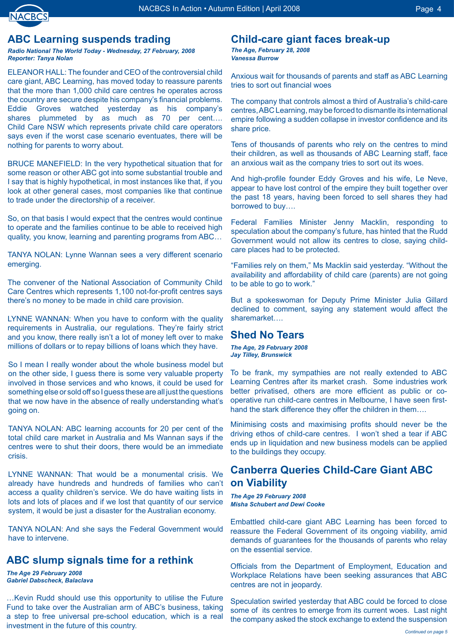

# **ABC Learning suspends trading**

*Radio National The World Today - Wednesday, 27 February, 2008 Reporter: Tanya Nolan*

ELEANOR HALL: The founder and CEO of the controversial child care giant, ABC Learning, has moved today to reassure parents that the more than 1,000 child care centres he operates across the country are secure despite his company's financial problems. Eddie Groves watched yesterday as his company's shares plummeted by as much as 70 per cent.... Child Care NSW which represents private child care operators says even if the worst case scenario eventuates, there will be nothing for parents to worry about.

BRUCE MANEFIELD: In the very hypothetical situation that for some reason or other ABC got into some substantial trouble and I say that is highly hypothetical, in most instances like that, if you look at other general cases, most companies like that continue to trade under the directorship of a receiver.

So, on that basis I would expect that the centres would continue to operate and the families continue to be able to received high quality, you know, learning and parenting programs from ABC…

TANYA NOLAN: Lynne Wannan sees a very different scenario emerging.

The convener of the National Association of Community Child Care Centres which represents 1,100 not-for-profit centres says there's no money to be made in child care provision.

LYNNE WANNAN: When you have to conform with the quality requirements in Australia, our regulations. They're fairly strict and you know, there really isn't a lot of money left over to make millions of dollars or to repay billions of loans which they have.

So I mean I really wonder about the whole business model but on the other side, I guess there is some very valuable property involved in those services and who knows, it could be used for something else or sold off so I guess these are all just the questions that we now have in the absence of really understanding what's going on.

TANYA NOLAN: ABC learning accounts for 20 per cent of the total child care market in Australia and Ms Wannan says if the centres were to shut their doors, there would be an immediate crisis.

LYNNE WANNAN: That would be a monumental crisis. We already have hundreds and hundreds of families who can't access a quality children's service. We do have waiting lists in lots and lots of places and if we lost that quantity of our service system, it would be just a disaster for the Australian economy.

TANYA NOLAN: And she says the Federal Government would have to intervene.

# **ABC slump signals time for a rethink**

*The Age 29 February 2008 Gabriel Dabscheck, Balaclava*

…Kevin Rudd should use this opportunity to utilise the Future Fund to take over the Australian arm of ABC's business, taking a step to free universal pre-school education, which is a real investment in the future of this country.

# **Child-care giant faces break-up**

*The Age, February 28, 2008 Vanessa Burrow*

Anxious wait for thousands of parents and staff as ABC Learning tries to sort out financial woes

The company that controls almost a third of Australia's child-care centres, ABC Learning, may be forced to dismantle its international empire following a sudden collapse in investor confidence and its share price.

Tens of thousands of parents who rely on the centres to mind their children, as well as thousands of ABC Learning staff, face an anxious wait as the company tries to sort out its woes.

And high-profile founder Eddy Groves and his wife, Le Neve, appear to have lost control of the empire they built together over the past 18 years, having been forced to sell shares they had borrowed to buy….

Federal Families Minister Jenny Macklin, responding to speculation about the company's future, has hinted that the Rudd Government would not allow its centres to close, saying childcare places had to be protected.

"Families rely on them," Ms Macklin said yesterday. "Without the availability and affordability of child care (parents) are not going to be able to go to work."

But a spokeswoman for Deputy Prime Minister Julia Gillard declined to comment, saying any statement would affect the sharemarket….

## **Shed No Tears**

*The Age, 29 February 2008 Jay Tilley, Brunswick*

To be frank, my sympathies are not really extended to ABC Learning Centres after its market crash. Some industries work better privatised, others are more efficient as public or cooperative run child-care centres in Melbourne, I have seen firsthand the stark difference they offer the children in them....

Minimising costs and maximising profits should never be the driving ethos of child-care centres. I won't shed a tear if ABC ends up in liquidation and new business models can be applied to the buildings they occupy.

# **Canberra Queries Child-Care Giant ABC on Viability**

*The Age 29 February 2008 Misha Schubert and Dewi Cooke*

Embattled child-care giant ABC Learning has been forced to reassure the Federal Government of its ongoing viability, amid demands of guarantees for the thousands of parents who relay on the essential service.

Officials from the Department of Employment, Education and Workplace Relations have been seeking assurances that ABC centres are not in jeopardy.

Speculation swirled yesterday that ABC could be forced to close some of its centres to emerge from its current woes. Last night the company asked the stock exchange to extend the suspension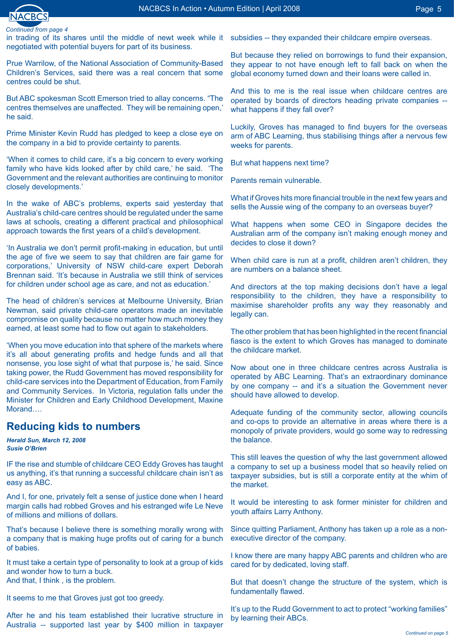

in trading of its shares until the middle of newt week while it subsidies -- they expanded their childcare empire overseas. negotiated with potential buyers for part of its business.

Prue Warrilow, of the National Association of Community-Based Children's Services, said there was a real concern that some centres could be shut.

But ABC spokesman Scott Emerson tried to allay concerns. "The centres themselves are unaffected. They will be remaining open,' he said.

Prime Minister Kevin Rudd has pledged to keep a close eye on the company in a bid to provide certainty to parents.

'When it comes to child care, it's a big concern to every working family who have kids looked after by child care,' he said. 'The Government and the relevant authorities are continuing to monitor closely developments.'

In the wake of ABC's problems, experts said yesterday that Australia's child-care centres should be regulated under the same laws at schools, creating a different practical and philosophical approach towards the first years of a child's development.

'In Australia we don't permit profit-making in education, but until the age of five we seem to say that children are fair game for corporations,' University of NSW child-care expert Deborah Brennan said. 'It's because in Australia we still think of services for children under school age as care, and not as education.'

The head of children's services at Melbourne University, Brian Newman, said private child-care operators made an inevitable compromise on quality because no matter how much money they earned, at least some had to flow out again to stakeholders.

'When you move education into that sphere of the markets where it's all about generating profits and hedge funds and all that nonsense, you lose sight of what that purpose is,' he said. Since taking power, the Rudd Government has moved responsibility for child-care services into the Department of Education, from Family and Community Services. In Victoria, regulation falls under the Minister for Children and Early Childhood Development, Maxine Morand….

# **Reducing kids to numbers**

*Herald Sun, March 12, 2008 Susie O'Brien*

IF the rise and stumble of childcare CEO Eddy Groves has taught us anything, it's that running a successful childcare chain isn't as easy as ABC.

And I, for one, privately felt a sense of justice done when I heard margin calls had robbed Groves and his estranged wife Le Neve of millions and millions of dollars.

That's because I believe there is something morally wrong with a company that is making huge profits out of caring for a bunch of babies.

It must take a certain type of personality to look at a group of kids and wonder how to turn a buck. And that, I think , is the problem.

It seems to me that Groves just got too greedy.

After he and his team established their lucrative structure in Australia -- supported last year by \$400 million in taxpayer

But because they relied on borrowings to fund their expansion, they appear to not have enough left to fall back on when the global economy turned down and their loans were called in.

And this to me is the real issue when childcare centres are operated by boards of directors heading private companies - what happens if they fall over?

Luckily, Groves has managed to find buyers for the overseas arm of ABC Learning, thus stabilising things after a nervous few weeks for parents.

But what happens next time?

Parents remain vulnerable.

What if Groves hits more financial trouble in the next few years and sells the Aussie wing of the company to an overseas buyer?

What happens when some CEO in Singapore decides the Australian arm of the company isn't making enough money and decides to close it down?

When child care is run at a profit, children aren't children, they are numbers on a balance sheet.

And directors at the top making decisions don't have a legal responsibility to the children, they have a responsibility to maximise shareholder profits any way they reasonably and legally can.

The other problem that has been highlighted in the recent financial fiasco is the extent to which Groves has managed to dominate the childcare market.

Now about one in three childcare centres across Australia is operated by ABC Learning. That's an extraordinary dominance by one company -- and it's a situation the Government never should have allowed to develop.

Adequate funding of the community sector, allowing councils and co-ops to provide an alternative in areas where there is a monopoly of private providers, would go some way to redressing the balance.

This still leaves the question of why the last government allowed a company to set up a business model that so heavily relied on taxpayer subsidies, but is still a corporate entity at the whim of the market.

It would be interesting to ask former minister for children and youth affairs Larry Anthony.

Since quitting Parliament, Anthony has taken up a role as a nonexecutive director of the company.

I know there are many happy ABC parents and children who are cared for by dedicated, loving staff.

But that doesn't change the structure of the system, which is fundamentally flawed.

It's up to the Rudd Government to act to protect "working families" by learning their ABCs.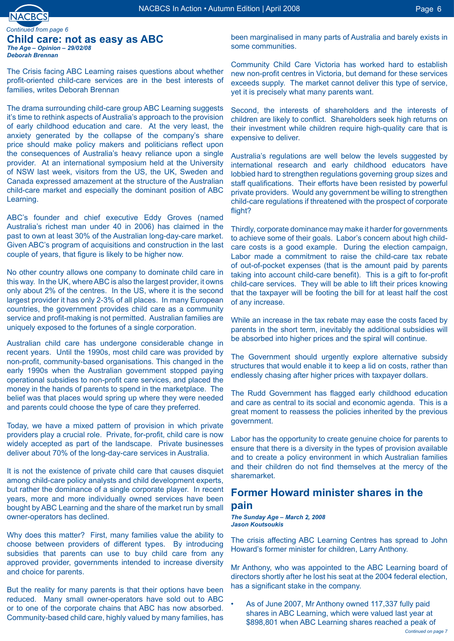

#### **Child care: not as easy as ABC**  *The Age – Opinion – 29/02/08 Deborah Brennan Continued from page*

The Crisis facing ABC Learning raises questions about whether profit-oriented child-care services are in the best interests of families, writes Deborah Brennan

The drama surrounding child-care group ABC Learning suggests it's time to rethink aspects of Australia's approach to the provision of early childhood education and care. At the very least, the anxiety generated by the collapse of the company's share price should make policy makers and politicians reflect upon the consequences of Australia's heavy reliance upon a single provider. At an international symposium held at the University of NSW last week, visitors from the US, the UK, Sweden and Canada expressed amazement at the structure of the Australian child-care market and especially the dominant position of ABC Learning.

ABC's founder and chief executive Eddy Groves (named Australia's richest man under 40 in 2006) has claimed in the past to own at least 30% of the Australian long-day-care market. Given ABC's program of acquisitions and construction in the last couple of years, that figure is likely to be higher now.

No other country allows one company to dominate child care in this way. In the UK, where ABC is also the largest provider, it owns only about 2% of the centres. In the US, where it is the second largest provider it has only 2-3% of all places. In many European countries, the government provides child care as a community service and profit-making is not permitted. Australian families are uniquely exposed to the fortunes of a single corporation.

Australian child care has undergone considerable change in recent years. Until the 1990s, most child care was provided by non-profit, community-based organisations. This changed in the early 1990s when the Australian government stopped paying operational subsidies to non-profit care services, and placed the money in the hands of parents to spend in the marketplace. The belief was that places would spring up where they were needed and parents could choose the type of care they preferred.

Today, we have a mixed pattern of provision in which private providers play a crucial role. Private, for-profit, child care is now widely accepted as part of the landscape. Private businesses deliver about 70% of the long-day-care services in Australia.

It is not the existence of private child care that causes disquiet among child-care policy analysts and child development experts, but rather the dominance of a single corporate player. In recent years, more and more individually owned services have been bought by ABC Learning and the share of the market run by small owner-operators has declined.

Why does this matter? First, many families value the ability to choose between providers of different types. By introducing subsidies that parents can use to buy child care from any approved provider, governments intended to increase diversity and choice for parents.

But the reality for many parents is that their options have been reduced. Many small owner-operators have sold out to ABC or to one of the corporate chains that ABC has now absorbed. Community-based child care, highly valued by many families, has

been marginalised in many parts of Australia and barely exists in some communities.

Community Child Care Victoria has worked hard to establish new non-profit centres in Victoria, but demand for these services exceeds supply. The market cannot deliver this type of service, yet it is precisely what many parents want.

Second, the interests of shareholders and the interests of children are likely to conflict. Shareholders seek high returns on their investment while children require high-quality care that is expensive to deliver.

Australia's regulations are well below the levels suggested by international research and early childhood educators have lobbied hard to strengthen regulations governing group sizes and staff qualifications. Their efforts have been resisted by powerful private providers. Would any government be willing to strengthen child-care regulations if threatened with the prospect of corporate flight?

Thirdly, corporate dominance may make it harder for governments to achieve some of their goals. Labor's concern about high childcare costs is a good example. During the election campaign, Labor made a commitment to raise the child-care tax rebate of out-of-pocket expenses (that is the amount paid by parents taking into account child-care benefit). This is a gift to for-profit child-care services. They will be able to lift their prices knowing that the taxpayer will be footing the bill for at least half the cost of any increase.

While an increase in the tax rebate may ease the costs faced by parents in the short term, inevitably the additional subsidies will be absorbed into higher prices and the spiral will continue.

The Government should urgently explore alternative subsidy structures that would enable it to keep a lid on costs, rather than endlessly chasing after higher prices with taxpayer dollars.

The Rudd Government has flagged early childhood education and care as central to its social and economic agenda. This is a great moment to reassess the policies inherited by the previous government.

Labor has the opportunity to create genuine choice for parents to ensure that there is a diversity in the types of provision available and to create a policy environment in which Australian families and their children do not find themselves at the mercy of the sharemarket.

## **Former Howard minister shares in the pain**

*The Sunday Age – March 2, 2008 Jason Koutsoukis* 

The crisis affecting ABC Learning Centres has spread to John Howard's former minister for children, Larry Anthony.

Mr Anthony, who was appointed to the ABC Learning board of directors shortly after he lost his seat at the 2004 federal election, has a significant stake in the company.

As of June 2007, Mr Anthony owned 117,337 fully paid shares in ABC Learning, which were valued last year at \$898,801 when ABC Learning shares reached a peak of •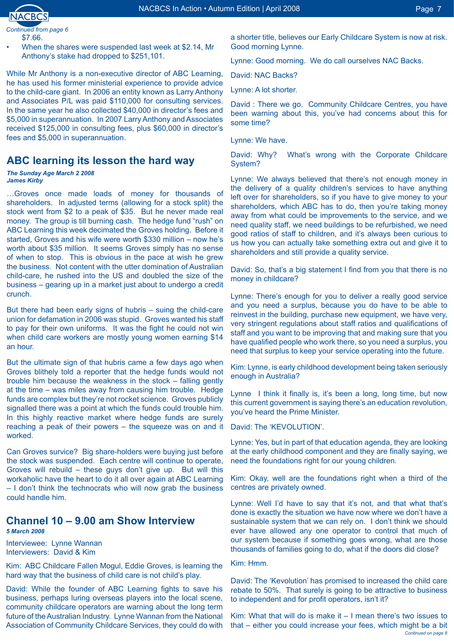

•

*Continued from page*  \$7.66.

When the shares were suspended last week at \$2.14, Mr Anthony's stake had dropped to \$251,101.

While Mr Anthony is a non-executive director of ABC Learning, he has used his former ministerial experience to provide advice to the child-care giant. In 2006 an entity known as Larry Anthony and Associates P/L was paid \$110,000 for consulting services. In the same year he also collected \$40,000 in director's fees and \$5,000 in superannuation. In 2007 Larry Anthony and Associates received \$125,000 in consulting fees, plus \$60,000 in director's fees and \$5,000 in superannuation.

### **ABC learning its lesson the hard way**

*The Sunday Age March 2 2008 James Kirby* 

…Groves once made loads of money for thousands of shareholders. In adjusted terms (allowing for a stock split) the stock went from \$2 to a peak of \$35. But he never made real money. The group is till burning cash. The hedge fund "rush" on ABC Learning this week decimated the Groves holding. Before it started, Groves and his wife were worth \$330 million – now he's worth about \$35 million. It seems Groves simply has no sense of when to stop. This is obvious in the pace at wish he grew the business. Not content with the utter domination of Australian child-care, he rushed into the US and doubled the size of the business – gearing up in a market just about to undergo a credit crunch.

But there had been early signs of hubris – suing the child-care union for defamation in 2006 was stupid. Groves wanted his staff to pay for their own uniforms. It was the fight he could not win when child care workers are mostly young women earning \$14 an hour.

But the ultimate sign of that hubris came a few days ago when Groves blithely told a reporter that the hedge funds would not trouble him because the weakness in the stock – falling gently at the time – was miles away from causing him trouble. Hedge funds are complex but they're not rocket science. Groves publicly signalled there was a point at which the funds could trouble him. In this highly reactive market where hedge funds are surely reaching a peak of their powers – the squeeze was on and it worked.

Can Groves survice? Big share-holders were buying just before the stock was suspended. Each centre will continue to operate, Groves will rebuild – these guys don't give up. But will this workaholic have the heart to do it all over again at ABC Learning – I don't think the technocrats who will now grab the business could handle him.

# **Channel 10 – 9.00 am Show Interview**

*5 March 2008* 

Interviewee: Lynne Wannan Interviewers: David & Kim

Kim: ABC Childcare Fallen Mogul, Eddie Groves, is learning the hard way that the business of child care is not child's play.

David: While the founder of ABC Learning fights to save his business, perhaps luring overseas players into the local scene, community childcare operators are warning about the long term future of the Australian Industry. Lynne Wannan from the National Association of Community Childcare Services, they could do with a shorter title, believes our Early Childcare System is now at risk. Good morning Lynne.

Lynne: Good morning. We do call ourselves NAC Backs.

David: NAC Backs?

Lynne: A lot shorter.

David : There we go. Community Childcare Centres, you have been warning about this, you've had concerns about this for some time?

Lynne: We have.

David: Why? What's wrong with the Corporate Childcare System?

Lynne: We always believed that there's not enough money in the delivery of a quality children's services to have anything left over for shareholders, so if you have to give money to your shareholders, which ABC has to do, then you're taking money away from what could be improvements to the service, and we need quality staff, we need buildings to be refurbished, we need good ratios of staff to children, and it's always been curious to us how you can actually take something extra out and give it to shareholders and still provide a quality service.

David: So, that's a big statement I find from you that there is no money in childcare?

Lynne: There's enough for you to deliver a really good service and you need a surplus, because you do have to be able to reinvest in the building, purchase new equipment, we have very, very stringent regulations about staff ratios and qualifications of staff and you want to be improving that and making sure that you have qualified people who work there, so you need a surplus, you need that surplus to keep your service operating into the future.

Kim: Lynne, is early childhood development being taken seriously enough in Australia?

Lynne I think it finally is, it's been a long, long time, but now this current government is saying there's an education revolution, you've heard the Prime Minister.

David: The 'KEVOLUTION'.

Lynne: Yes, but in part of that education agenda, they are looking at the early childhood component and they are finally saying, we need the foundations right for our young children.

Kim: Okay, well are the foundations right when a third of the centres are privately owned.

Lynne: Well I'd have to say that it's not, and that what that's done is exactly the situation we have now where we don't have a sustainable system that we can rely on. I don't think we should ever have allowed any one operator to control that much of our system because if something goes wrong, what are those thousands of families going to do, what if the doors did close?

Kim: Hmm.

David: The 'Kevolution' has promised to increased the child care rebate to 50%. That surely is going to be attractive to business to independent and for profit operators, isn't it?

Kim: What that will do is make it – I mean there's two issues to that – either you could increase your fees, which might be a bit *Continued on page*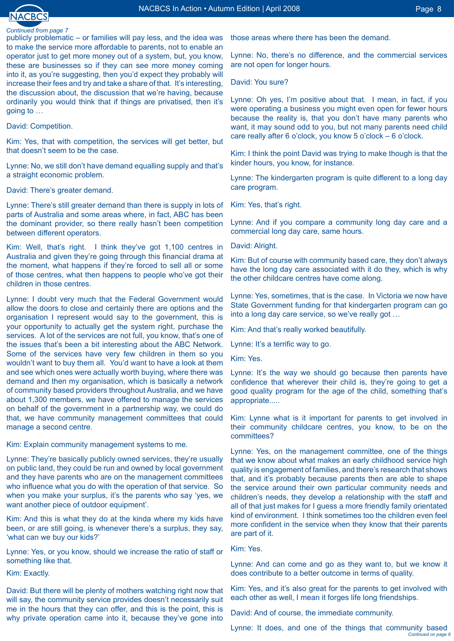

publicly problematic – or families will pay less, and the idea was to make the service more affordable to parents, not to enable an operator just to get more money out of a system, but, you know, these are businesses so if they can see more money coming into it, as you're suggesting, then you'd expect they probably will increase their fees and try and take a share of that. It's interesting, the discussion about, the discussion that we're having, because ordinarily you would think that if things are privatised, then it's going to …

David: Competition.

Kim: Yes, that with competition, the services will get better, but that doesn't seem to be the case.

Lynne: No, we still don't have demand equalling supply and that's a straight economic problem.

David: There's greater demand.

Lynne: There's still greater demand than there is supply in lots of parts of Australia and some areas where, in fact, ABC has been the dominant provider, so there really hasn't been competition between different operators.

Kim: Well, that's right. I think they've got 1,100 centres in Australia and given they're going through this financial drama at the moment, what happens if they're forced to sell all or some of those centres, what then happens to people who've got their children in those centres.

Lynne: I doubt very much that the Federal Government would allow the doors to close and certainly there are options and the organisation I represent would say to the government, this is your opportunity to actually get the system right, purchase the services. A lot of the services are not full, you know, that's one of the issues that's been a bit interesting about the ABC Network. Some of the services have very few children in them so you wouldn't want to buy them all. You'd want to have a look at them and see which ones were actually worth buying, where there was demand and then my organisation, which is basically a network of community based providers throughout Australia, and we have about 1,300 members, we have offered to manage the services on behalf of the government in a partnership way, we could do that, we have community management committees that could manage a second centre.

Kim: Explain community management systems to me.

Lynne: They're basically publicly owned services, they're usually on public land, they could be run and owned by local government and they have parents who are on the management committees who influence what you do with the operation of that service. So when you make your surplus, it's the parents who say 'yes, we want another piece of outdoor equipment'.

Kim: And this is what they do at the kinda where my kids have been, or are still going, is whenever there's a surplus, they say, 'what can we buy our kids?'

Lynne: Yes, or you know, should we increase the ratio of staff or something like that.

Kim: Exactly.

David: But there will be plenty of mothers watching right now that will say, the community service provides doesn't necessarily suit me in the hours that they can offer, and this is the point, this is why private operation came into it, because they've gone into

those areas where there has been the demand.

Lynne: No, there's no difference, and the commercial services are not open for longer hours.

David: You sure?

Lynne: Oh yes, I'm positive about that. I mean, in fact, if you were operating a business you might even open for fewer hours because the reality is, that you don't have many parents who want, it may sound odd to you, but not many parents need child care really after 6 o'clock, you know 5 o'clock – 6 o'clock.

Kim: I think the point David was trying to make though is that the kinder hours, you know, for instance.

Lynne: The kindergarten program is quite different to a long day care program.

Kim: Yes, that's right.

Lynne: And if you compare a community long day care and a commercial long day care, same hours.

David: Alright.

Kim: But of course with community based care, they don't always have the long day care associated with it do they, which is why the other childcare centres have come along.

Lynne: Yes, sometimes, that is the case. In Victoria we now have State Government funding for that kindergarten program can go into a long day care service, so we've really got …

Kim: And that's really worked beautifully.

Lynne: It's a terrific way to go.

Kim: Yes.

Lynne: It's the way we should go because then parents have confidence that wherever their child is, they're going to get a good quality program for the age of the child, something that's appropriate.....

Kim: Lynne what is it important for parents to get involved in their community childcare centres, you know, to be on the committees?

Lynne: Yes, on the management committee, one of the things that we know about what makes an early childhood service high quality is engagement of families, and there's research that shows that, and it's probably because parents then are able to shape the service around their own particular community needs and children's needs, they develop a relationship with the staff and all of that just makes for I quess a more friendly family orientated kind of environment. I think sometimes too the children even feel more confident in the service when they know that their parents are part of it.

Kim: Yes.

Lynne: And can come and go as they want to, but we know it does contribute to a better outcome in terms of quality.

Kim: Yes, and it's also great for the parents to get involved with each other as well, I mean it forges life long friendships.

David: And of course, the immediate community.

Lynne: It does, and one of the things that community based *Continued on page*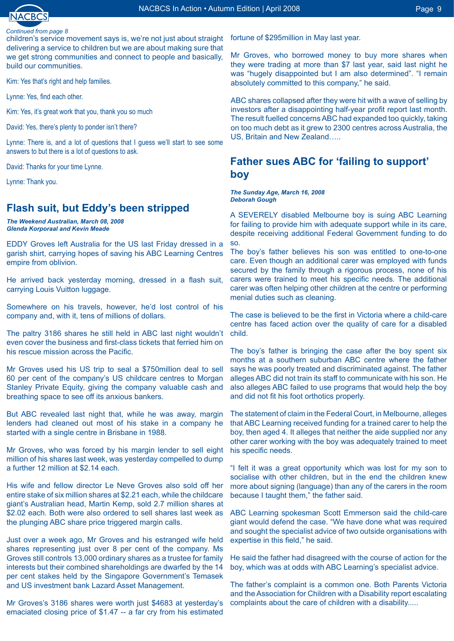children's service movement says is, we're not just about straight delivering a service to children but we are about making sure that we get strong communities and connect to people and basically, build our communities.

Kim: Yes that's right and help families.

Lynne: Yes, find each other.

Kim: Yes, it's great work that you, thank you so much

David: Yes, there's plenty to ponder isn't there?

Lynne: There is, and a lot of questions that I guess we'll start to see some answers to but there is a lot of questions to ask.

David: Thanks for your time Lynne.

Lynne: Thank you.

# **Flash suit, but Eddy's been stripped**

*The Weekend Australian, March 08, 2008 Glenda Korporaal and Kevin Meade* 

EDDY Groves left Australia for the US last Friday dressed in a garish shirt, carrying hopes of saving his ABC Learning Centres empire from oblivion.

He arrived back yesterday morning, dressed in a flash suit, carrying Louis Vuitton luggage.

Somewhere on his travels, however, he'd lost control of his company and, with it, tens of millions of dollars.

The paltry 3186 shares he still held in ABC last night wouldn't even cover the business and first-class tickets that ferried him on his rescue mission across the Pacific.

Mr Groves used his US trip to seal a \$750million deal to sell 60 per cent of the company's US childcare centres to Morgan Stanley Private Equity, giving the company valuable cash and breathing space to see off its anxious bankers.

But ABC revealed last night that, while he was away, margin lenders had cleaned out most of his stake in a company he started with a single centre in Brisbane in 1988.

Mr Groves, who was forced by his margin lender to sell eight million of his shares last week, was yesterday compelled to dump a further 12 million at \$2.14 each.

His wife and fellow director Le Neve Groves also sold off her entire stake of six million shares at \$2.21 each, while the childcare giant's Australian head, Martin Kemp, sold 2.7 million shares at \$2.02 each. Both were also ordered to sell shares last week as the plunging ABC share price triggered margin calls.

Just over a week ago, Mr Groves and his estranged wife held shares representing just over 8 per cent of the company. Ms Groves still controls 13,000 ordinary shares as a trustee for family interests but their combined shareholdings are dwarfed by the 14 per cent stakes held by the Singapore Government's Temasek and US investment bank Lazard Asset Management.

Mr Groves's 3186 shares were worth just \$4683 at yesterday's emaciated closing price of \$1.47 -- a far cry from his estimated

fortune of \$295million in May last year.

Mr Groves, who borrowed money to buy more shares when they were trading at more than \$7 last year, said last night he was "hugely disappointed but I am also determined". "I remain absolutely committed to this company," he said.

ABC shares collapsed after they were hit with a wave of selling by investors after a disappointing half-year profit report last month. The result fuelled concerns ABC had expanded too quickly, taking on too much debt as it grew to 2300 centres across Australia, the US, Britain and New Zealand…..

## **Father sues ABC for 'failing to support' boy**

*The Sunday Age, March 16, 2008 Deborah Gough*

A SEVERELY disabled Melbourne boy is suing ABC Learning for failing to provide him with adequate support while in its care, despite receiving additional Federal Government funding to do so.

The boy's father believes his son was entitled to one-to-one care. Even though an additional carer was employed with funds secured by the family through a rigorous process, none of his carers were trained to meet his specific needs. The additional carer was often helping other children at the centre or performing menial duties such as cleaning.

The case is believed to be the first in Victoria where a child-care centre has faced action over the quality of care for a disabled child.

The boy's father is bringing the case after the boy spent six months at a southern suburban ABC centre where the father says he was poorly treated and discriminated against. The father alleges ABC did not train its staff to communicate with his son. He also alleges ABC failed to use programs that would help the boy and did not fit his foot orthotics properly.

The statement of claim in the Federal Court, in Melbourne, alleges that ABC Learning received funding for a trained carer to help the boy, then aged 4. It alleges that neither the aide supplied nor any other carer working with the boy was adequately trained to meet his specific needs.

"I felt it was a great opportunity which was lost for my son to socialise with other children, but in the end the children knew more about signing (language) than any of the carers in the room because I taught them," the father said.

ABC Learning spokesman Scott Emmerson said the child-care giant would defend the case. "We have done what was required and sought the specialist advice of two outside organisations with expertise in this field," he said.

He said the father had disagreed with the course of action for the boy, which was at odds with ABC Learning's specialist advice.

The father's complaint is a common one. Both Parents Victoria and the Association for Children with a Disability report escalating complaints about the care of children with a disability.....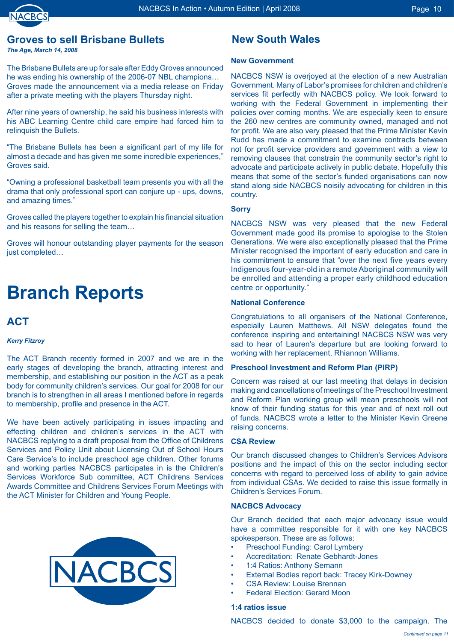

# **Groves to sell Brisbane Bullets**

*The Age, March 14, 2008* 

The Brisbane Bullets are up for sale after Eddy Groves announced he was ending his ownership of the 2006-07 NBL champions… Groves made the announcement via a media release on Friday after a private meeting with the players Thursday night.

After nine years of ownership, he said his business interests with his ABC Learning Centre child care empire had forced him to relinquish the Bullets.

"The Brisbane Bullets has been a significant part of my life for almost a decade and has given me some incredible experiences," Groves said.

"Owning a professional basketball team presents you with all the drama that only professional sport can conjure up - ups, downs, and amazing times."

Groves called the players together to explain his financial situation and his reasons for selling the team…

Groves will honour outstanding player payments for the season just completed…

# **Branch Reports**

## **ACT**

### *Kerry Fitzroy*

The ACT Branch recently formed in 2007 and we are in the early stages of developing the branch, attracting interest and membership, and establishing our position in the ACT as a peak body for community children's services. Our goal for 2008 for our branch is to strengthen in all areas I mentioned before in regards to membership, profile and presence in the ACT.

We have been actively participating in issues impacting and effecting children and children's services in the ACT with NACBCS replying to a draft proposal from the Office of Childrens Services and Policy Unit about Licensing Out of School Hours Care Service's to include preschool age children. Other forums and working parties NACBCS participates in is the Children's Services Workforce Sub committee, ACT Childrens Services Awards Committee and Childrens Services Forum Meetings with the ACT Minister for Children and Young People.



# **New South Wales**

### **New Government**

NACBCS NSW is overjoyed at the election of a new Australian Government. Many of Labor's promises for children and children's services fit perfectly with NACBCS policy. We look forward to working with the Federal Government in implementing their policies over coming months. We are especially keen to ensure the 260 new centres are community owned, managed and not for profit. We are also very pleased that the Prime Minister Kevin Rudd has made a commitment to examine contracts between not for profit service providers and government with a view to removing clauses that constrain the community sector's right to advocate and participate actively in public debate. Hopefully this means that some of the sector's funded organisations can now stand along side NACBCS noisily advocating for children in this country.

### **Sorry**

NACBCS NSW was very pleased that the new Federal Government made good its promise to apologise to the Stolen Generations. We were also exceptionally pleased that the Prime Minister recognised the important of early education and care in his commitment to ensure that "over the next five years every Indigenous four-year-old in a remote Aboriginal community will be enrolled and attending a proper early childhood education centre or opportunity."

### **National Conference**

Congratulations to all organisers of the National Conference, especially Lauren Matthews. All NSW delegates found the conference inspiring and entertaining! NACBCS NSW was very sad to hear of Lauren's departure but are looking forward to working with her replacement, Rhiannon Williams.

### **Preschool Investment and Reform Plan (PIRP)**

Concern was raised at our last meeting that delays in decision making and cancellations of meetings of the Preschool Investment and Reform Plan working group will mean preschools will not know of their funding status for this year and of next roll out of funds. NACBCS wrote a letter to the Minister Kevin Greene raising concerns.

### **CSA Review**

Our branch discussed changes to Children's Services Advisors positions and the impact of this on the sector including sector concerns with regard to perceived loss of ability to gain advice from individual CSAs. We decided to raise this issue formally in Children's Services Forum.

### **NACBCS Advocacy**

Our Branch decided that each major advocacy issue would have a committee responsible for it with one key NACBCS spokesperson. These are as follows:

- Preschool Funding: Carol Lymbery •
- Accreditation: Renate Gebhardt-Jones •
- 1:4 Ratios: Anthony Semann •
- External Bodies report back: Tracey Kirk-Downey •
- CSA Review: Louise Brennan •
- Federal Election: Gerard Moon •

### **1:4 ratios issue**

NACBCS decided to donate \$3,000 to the campaign. The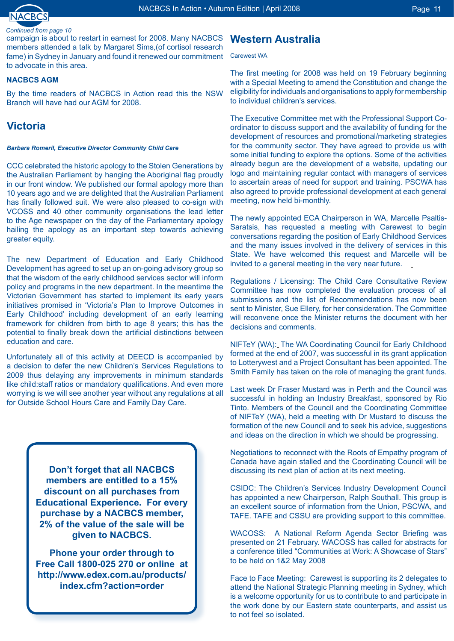

campaign is about to restart in earnest for 2008. Many NACBCS **Western Australia** members attended a talk by Margaret Sims,(of cortisol research fame) in Sydney in January and found it renewed our commitment to advocate in this area.

### **NACBCS AGM**

By the time readers of NACBCS in Action read this the NSW Branch will have had our AGM for 2008.

# **Victoria**

### *Barbara Romeril, Executive Director Community Child Care*

CCC celebrated the historic apology to the Stolen Generations by the Australian Parliament by hanging the Aboriginal flag proudly in our front window. We published our formal apology more than 10 years ago and we are delighted that the Australian Parliament has finally followed suit. We were also pleased to co-sign with VCOSS and 40 other community organisations the lead letter to the Age newspaper on the day of the Parliamentary apology hailing the apology as an important step towards achieving greater equity.

The new Department of Education and Early Childhood Development has agreed to set up an on-going advisory group so that the wisdom of the early childhood services sector will inform policy and programs in the new department. In the meantime the Victorian Government has started to implement its early years initiatives promised in 'Victoria's Plan to Improve Outcomes in Early Childhood' including development of an early learning framework for children from birth to age 8 years; this has the potential to finally break down the artificial distinctions between education and care.

Unfortunately all of this activity at DEECD is accompanied by a decision to defer the new Children's Services Regulations to 2009 thus delaying any improvements in minimum standards like child:staff ratios or mandatory qualifications. And even more worrying is we will see another year without any regulations at all for Outside School Hours Care and Family Day Care.

> **Don't forget that all NACBCS members are entitled to a 15% discount on all purchases from Educational Experience. For every purchase by a NACBCS member, 2% of the value of the sale will be given to NACBCS.**

**Phone your order through to Free Call 1800-025 270 or online at http://www.edex.com.au/products/ index.cfm?action=order**

### Carewest WA

The first meeting for 2008 was held on 19 February beginning with a Special Meeting to amend the Constitution and change the eligibility for individuals and organisations to apply for membership to individual children's services.

The Executive Committee met with the Professional Support Coordinator to discuss support and the availability of funding for the development of resources and promotional/marketing strategies for the community sector. They have agreed to provide us with some initial funding to explore the options. Some of the activities already begun are the development of a website, updating our logo and maintaining regular contact with managers of services to ascertain areas of need for support and training. PSCWA has also agreed to provide professional development at each general meeting, now held bi-monthly.

The newly appointed ECA Chairperson in WA, Marcelle Psaltis-Saratsis, has requested a meeting with Carewest to begin conversations regarding the position of Early Childhood Services and the many issues involved in the delivery of services in this State. We have welcomed this request and Marcelle will be invited to a general meeting in the very near future.

Regulations / Licensing: The Child Care Consultative Review Committee has now completed the evaluation process of all submissions and the list of Recommendations has now been sent to Minister, Sue Ellery, for her consideration. The Committee will reconvene once the Minister returns the document with her decisions and comments.

NIFTeY (WA): The WA Coordinating Council for Early Childhood formed at the end of 2007, was successful in its grant application to Lotterywest and a Project Consultant has been appointed. The Smith Family has taken on the role of managing the grant funds.

Last week Dr Fraser Mustard was in Perth and the Council was successful in holding an Industry Breakfast, sponsored by Rio Tinto. Members of the Council and the Coordinating Committee of NIFTeY (WA), held a meeting with Dr Mustard to discuss the formation of the new Council and to seek his advice, suggestions and ideas on the direction in which we should be progressing.

Negotiations to reconnect with the Roots of Empathy program of Canada have again stalled and the Coordinating Council will be discussing its next plan of action at its next meeting.

CSIDC: The Children's Services Industry Development Council has appointed a new Chairperson, Ralph Southall. This group is an excellent source of information from the Union, PSCWA, and TAFE. TAFE and CSSU are providing support to this committee.

WACOSS: A National Reform Agenda Sector Briefing was presented on 21 February. WACOSS has called for abstracts for a conference titled "Communities at Work: A Showcase of Stars" to be held on 1&2 May 2008

Face to Face Meeting: Carewest is supporting its 2 delegates to attend the National Strategic Planning meeting in Sydney, which is a welcome opportunity for us to contribute to and participate in the work done by our Eastern state counterparts, and assist us to not feel so isolated.